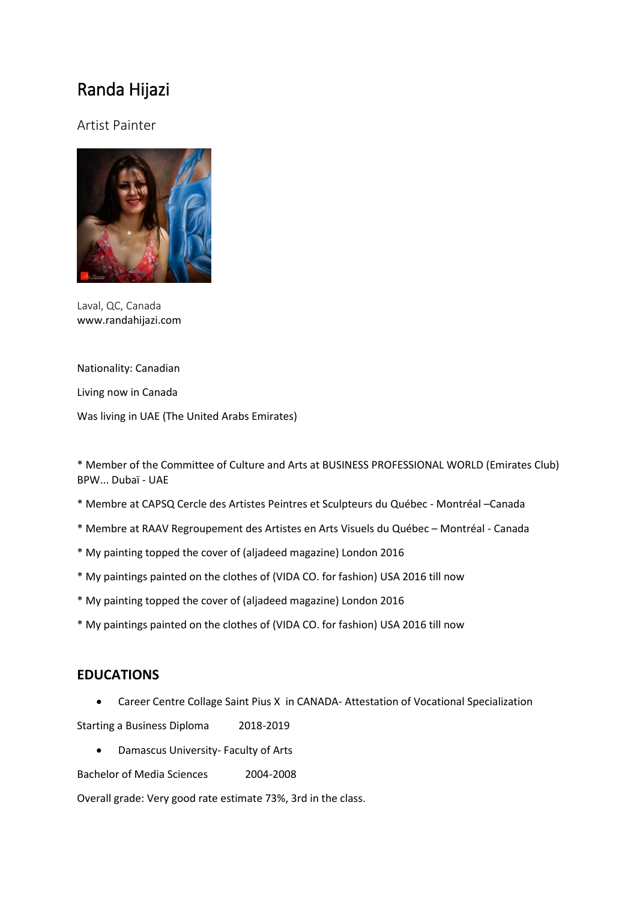# Randa Hijazi

## Artist Painter



Laval, QC, Canada www.randahijazi.com

Nationality: Canadian

Living now in Canada

Was living in UAE (The United Arabs Emirates)

\* Member of the Committee of Culture and Arts at BUSINESS PROFESSIONAL WORLD (Emirates Club) BPW... Dubaï - UAE

- \* Membre at CAPSQ Cercle des Artistes Peintres et Sculpteurs du Québec Montréal –Canada
- \* Membre at RAAV Regroupement des Artistes en Arts Visuels du Québec Montréal Canada
- \* My painting topped the cover of (aljadeed magazine) London 2016
- \* My paintings painted on the clothes of (VIDA CO. for fashion) USA 2016 till now
- \* My painting topped the cover of (aljadeed magazine) London 2016
- \* My paintings painted on the clothes of (VIDA CO. for fashion) USA 2016 till now

#### **EDUCATIONS**

Career Centre Collage Saint Pius X in CANADA- Attestation of Vocational Specialization

Starting a Business Diploma 2018-2019

Damascus University- Faculty of Arts

Bachelor of Media Sciences 2004-2008

Overall grade: Very good rate estimate 73%, 3rd in the class.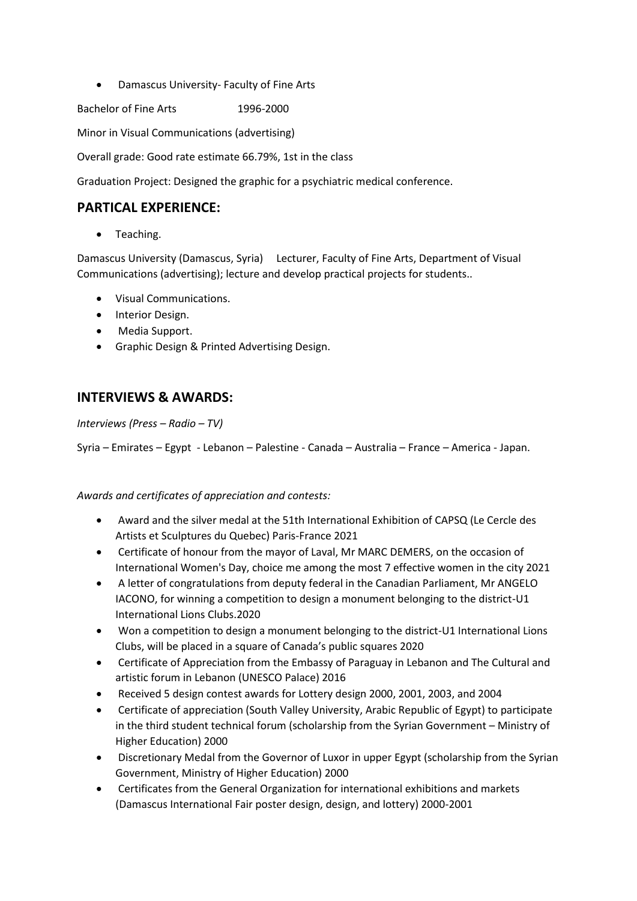Damascus University- Faculty of Fine Arts

Bachelor of Fine Arts 1996-2000

Minor in Visual Communications (advertising)

Overall grade: Good rate estimate 66.79%, 1st in the class

Graduation Project: Designed the graphic for a psychiatric medical conference.

### **PARTICAL EXPERIENCE:**

• Teaching.

Damascus University (Damascus, Syria) Lecturer, Faculty of Fine Arts, Department of Visual Communications (advertising); lecture and develop practical projects for students..

- Visual Communications.
- Interior Design.
- Media Support.
- Graphic Design & Printed Advertising Design.

## **INTERVIEWS & AWARDS:**

#### *Interviews (Press – Radio – TV)*

Syria – Emirates – Egypt - Lebanon – Palestine - Canada – Australia – France – America - Japan.

#### *Awards and certificates of appreciation and contests:*

- Award and the silver medal at the 51th International Exhibition of CAPSQ (Le Cercle des Artists et Sculptures du Quebec) Paris-France 2021
- Certificate of honour from the mayor of Laval, Mr MARC DEMERS, on the occasion of International Women's Day, choice me among the most 7 effective women in the city 2021
- A letter of congratulations from deputy federal in the Canadian Parliament, Mr ANGELO IACONO, for winning a competition to design a monument belonging to the district-U1 International Lions Clubs.2020
- Won a competition to design a monument belonging to the district-U1 International Lions Clubs, will be placed in a square of Canada's public squares 2020
- Certificate of Appreciation from the Embassy of Paraguay in Lebanon and The Cultural and artistic forum in Lebanon (UNESCO Palace) 2016
- Received 5 design contest awards for Lottery design 2000, 2001, 2003, and 2004
- Certificate of appreciation (South Valley University, Arabic Republic of Egypt) to participate in the third student technical forum (scholarship from the Syrian Government – Ministry of Higher Education) 2000
- Discretionary Medal from the Governor of Luxor in upper Egypt (scholarship from the Syrian Government, Ministry of Higher Education) 2000
- Certificates from the General Organization for international exhibitions and markets (Damascus International Fair poster design, design, and lottery) 2000-2001